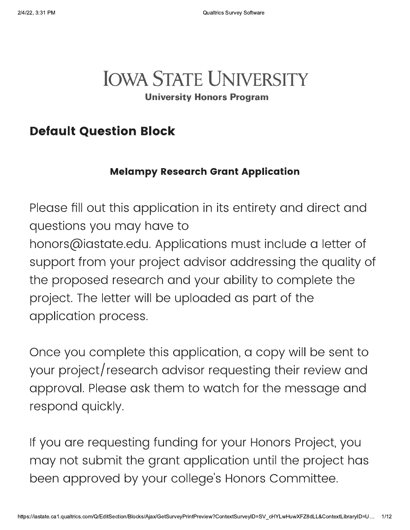# **IOWA STATE UNIVERSITY**

**University Honors Program** 

# **Default Question Block**

### **Melampy Research Grant Application**

Please fill out this application in its entirety and direct and questions you may have to honors@iastate.edu. Applications must include a letter of support from your project advisor addressing the quality of the proposed research and your ability to complete the project. The letter will be uploaded as part of the application process.

Once you complete this application, a copy will be sent to your project/research advisor requesting their review and approval. Please ask them to watch for the message and respond quickly.

If you are requesting funding for your Honors Project, you may not submit the grant application until the project has been approved by your college's Honors Committee.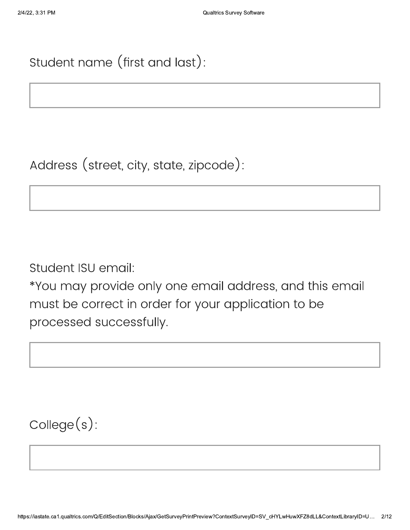# Student name (first and last):

Address (street, city, state, zipcode):

Student ISU email:

\*You may provide only one email address, and this email must be correct in order for your application to be processed successfully.

 $\text{Collect}(s)$ :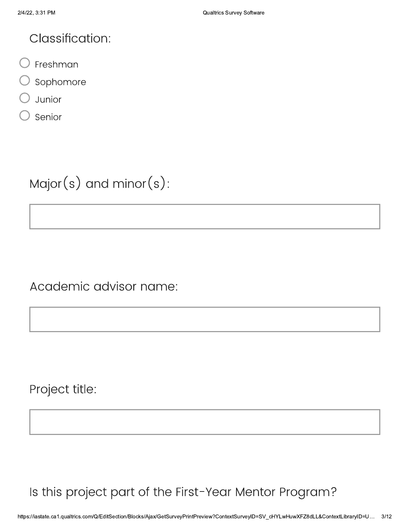### **Classification:**

- Freshman
- Sophomore
- Junior
- Senior

Major(s) and minor(s):

Academic advisor name:

Project title:

## Is this project part of the First-Year Mentor Program?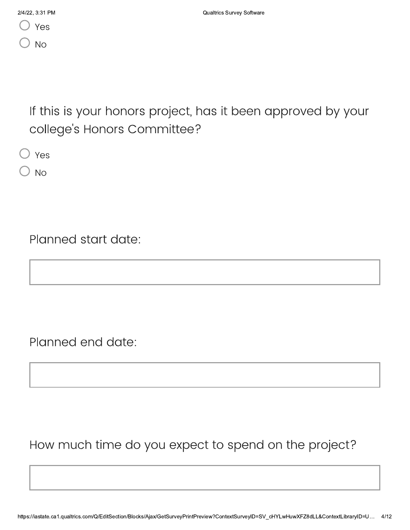If this is your honors project, has it been approved by your college's Honors Committee?

) Yes

**No** 

Planned start date:

Planned end date:

How much time do you expect to spend on the project?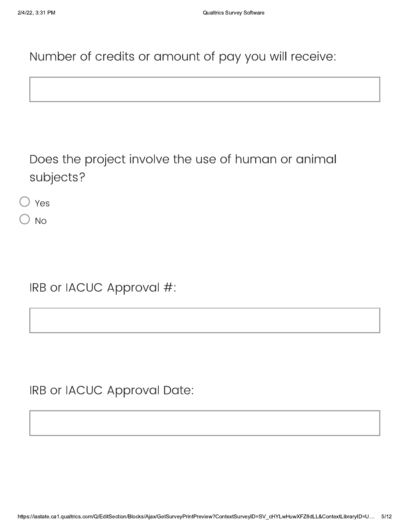Number of credits or amount of pay you will receive:

Does the project involve the use of human or animal subjects?

 $\bigcirc$  Yes

**No** 

IRB or IACUC Approval #:

IRB or IACUC Approval Date: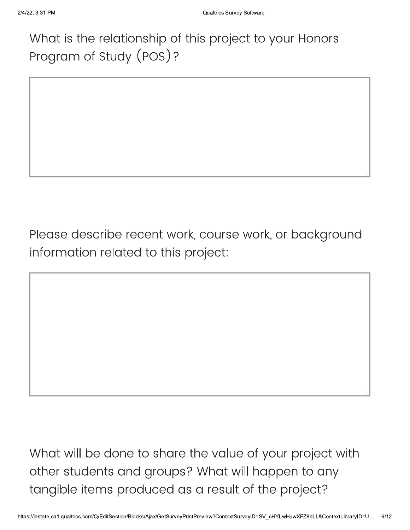# What is the relationship of this project to your Honors Program of Study (POS)?

Please describe recent work, course work, or background information related to this project:

What will be done to share the value of your project with other students and groups? What will happen to any tangible items produced as a result of the project?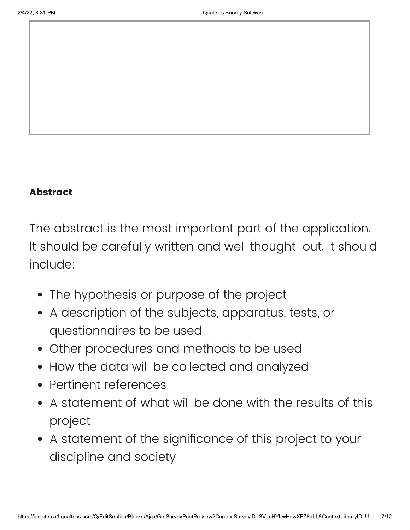#### **Abstract**

The abstract is the most important part of the application. It should be carefully written and well thought-out. It should include:

- The hypothesis or purpose of the project
- A description of the subjects, apparatus, tests, or questionnaires to be used
- Other procedures and methods to be used
- How the data will be collected and analyzed
- Pertinent references
- A statement of what will be done with the results of this project
- A statement of the significance of this project to your discipline and society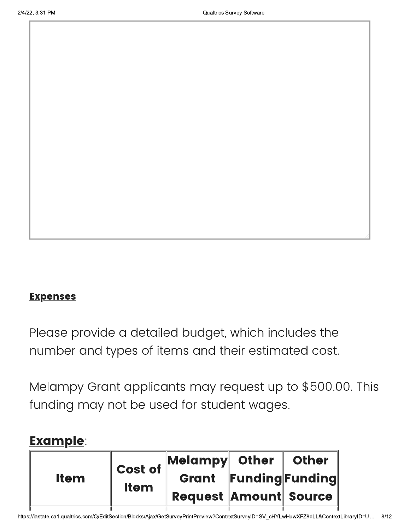#### **Expenses**

Please provide a detailed budget, which includes the number and types of items and their estimated cost.

Melampy Grant applicants may request up to \$500.00. This funding may not be used for student wages.

### **Example:**

| <b>Item</b> | <b>Cost of</b><br><b>Item</b> | Melampy Other Other          |                       |  |
|-------------|-------------------------------|------------------------------|-----------------------|--|
|             |                               |                              | Grant Funding Funding |  |
|             |                               | <b>Request Amount Source</b> |                       |  |
|             |                               |                              |                       |  |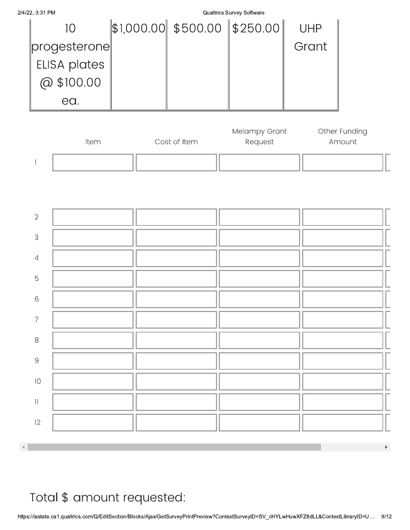

Total \$ amount requested: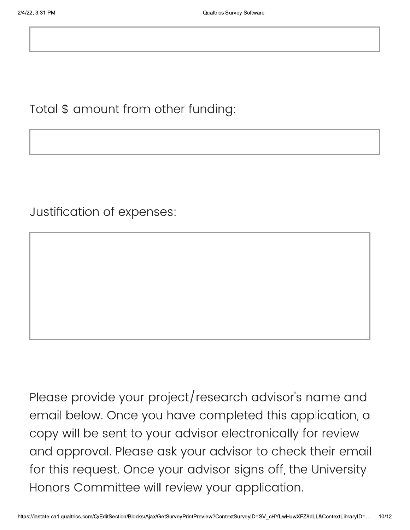Total \$ amount from other funding:

Justification of expenses:

Please provide your project/research advisor's name and email below. Once you have completed this application, a copy will be sent to your advisor electronically for review and approval. Please ask your advisor to check their email for this request. Once your advisor signs off, the University Honors Committee will review your application.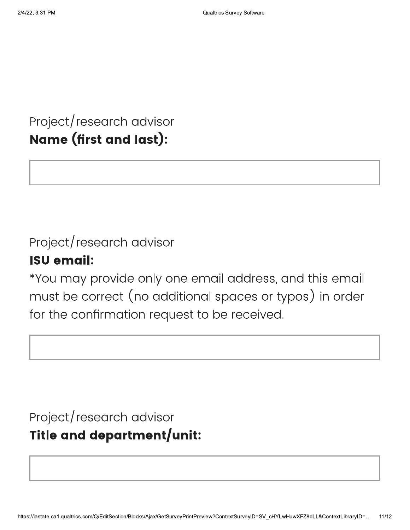Project/research advisor Name (first and last):

# Project/research advisor

### **ISU email:**

\*You may provide only one email address, and this email must be correct (no additional spaces or typos) in order for the confirmation request to be received.

# Project/research advisor Title and department/unit: